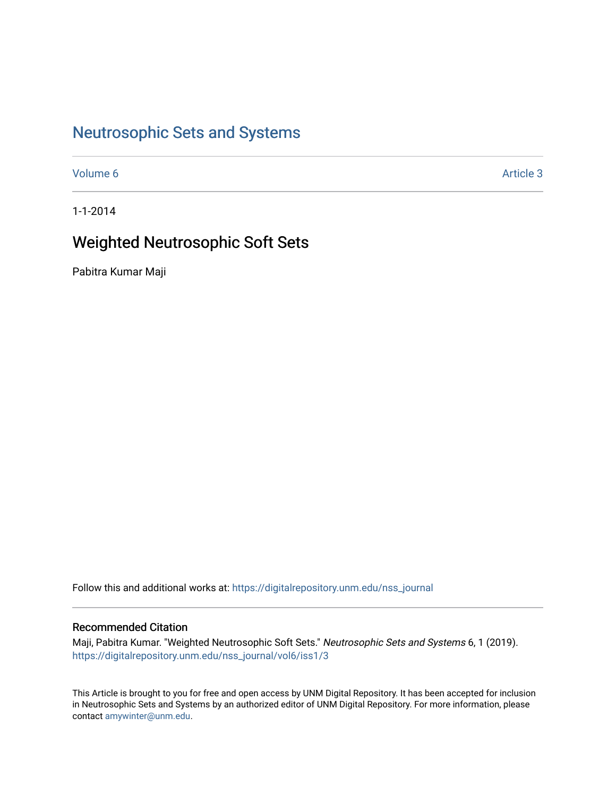## [Neutrosophic Sets and Systems](https://digitalrepository.unm.edu/nss_journal)

[Volume 6](https://digitalrepository.unm.edu/nss_journal/vol6) Article 3

1-1-2014

## Weighted Neutrosophic Soft Sets

Pabitra Kumar Maji

Follow this and additional works at: [https://digitalrepository.unm.edu/nss\\_journal](https://digitalrepository.unm.edu/nss_journal?utm_source=digitalrepository.unm.edu%2Fnss_journal%2Fvol6%2Fiss1%2F3&utm_medium=PDF&utm_campaign=PDFCoverPages) 

## Recommended Citation

Maji, Pabitra Kumar. "Weighted Neutrosophic Soft Sets." Neutrosophic Sets and Systems 6, 1 (2019). [https://digitalrepository.unm.edu/nss\\_journal/vol6/iss1/3](https://digitalrepository.unm.edu/nss_journal/vol6/iss1/3?utm_source=digitalrepository.unm.edu%2Fnss_journal%2Fvol6%2Fiss1%2F3&utm_medium=PDF&utm_campaign=PDFCoverPages) 

This Article is brought to you for free and open access by UNM Digital Repository. It has been accepted for inclusion in Neutrosophic Sets and Systems by an authorized editor of UNM Digital Repository. For more information, please contact [amywinter@unm.edu](mailto:amywinter@unm.edu).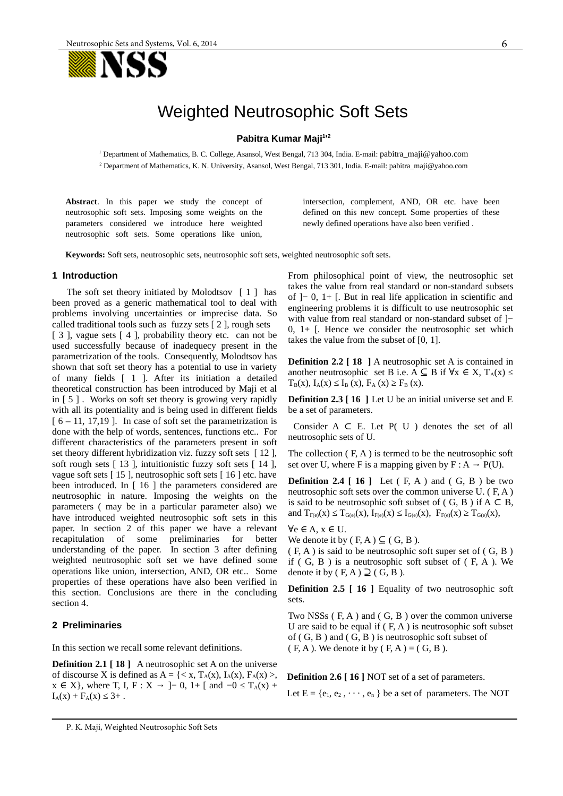

# Weighted Neutrosophic Soft Sets

#### **Pabitra Kumar Maji<sup>1</sup> ' 2**

<sup>1</sup> Department of Mathematics, B. C. College, Asansol, West Bengal, 713 304, India. E-mail: [pabitra\\_maji@yahoo.com](mailto:pabitra_maji@yahoo.com) 2 Department of Mathematics, K. N. University, Asansol, West Bengal, 713 301, India. E-mail: pabitra\_maji@yahoo.com

**Abstract**. In this paper we study the concept of neutrosophic soft sets. Imposing some weights on the parameters considered we introduce here weighted neutrosophic soft sets. Some operations like union, intersection, complement, AND, OR etc. have been defined on this new concept. Some properties of these newly defined operations have also been verified .

**Keywords:** Soft sets, neutrosophic sets, neutrosophic soft sets, weighted neutrosophic soft sets.

#### **1 Introduction**

The soft set theory initiated by Molodtsov [ 1 ] has been proved as a generic mathematical tool to deal with problems involving uncertainties or imprecise data. So called traditional tools such as fuzzy sets [ 2 ], rough sets

[ 3 ], vague sets [ 4 ], probability theory etc. can not be used successfully because of inadequecy present in the parametrization of the tools. Consequently, Molodtsov has shown that soft set theory has a potential to use in variety of many fields [ 1 ]. After its initiation a detailed theoretical construction has been introduced by Maji et al in [ 5 ] . Works on soft set theory is growing very rapidly with all its potentiality and is being used in different fields  $[6 - 11, 17, 19]$ . In case of soft set the parametrization is done with the help of words, sentences, functions etc.. For different characteristics of the parameters present in soft set theory different hybridization viz. fuzzy soft sets [12], soft rough sets [ 13 ], intuitionistic fuzzy soft sets [ 14 ], vague soft sets [ 15 ], neutrosophic soft sets [ 16 ] etc. have been introduced. In [ 16 ] the parameters considered are neutrosophic in nature. Imposing the weights on the parameters ( may be in a particular parameter also) we have introduced weighted neutrosophic soft sets in this paper. In section 2 of this paper we have a relevant recapitulation of some preliminaries for better recapitulation of some preliminaries for better understanding of the paper. In section 3 after defining weighted neutrosophic soft set we have defined some operations like union, intersection, AND, OR etc.. Some properties of these operations have also been verified in this section. Conclusions are there in the concluding section 4.

## **2 Preliminaries**

In this section we recall some relevant definitions.

**Definition 2.1 [ 18 ]** A neutrosophic set A on the universe of discourse X is defined as  $A = \{ \langle x, T_A(x), I_A(x), F_A(x) \rangle,$  $x \in X$ , where T, I, F :  $X \to$  ]– 0, 1+ [ and  $-0 \le T_A(x)$  +  $I_A(x) + F_A(x) \leq 3+$ .

From philosophical point of view, the neutrosophic set takes the value from real standard or non-standard subsets of ]− 0, 1+ [. But in real life application in scientific and engineering problems it is difficult to use neutrosophic set with value from real standard or non-standard subset of ]− 0,  $1+$  [. Hence we consider the neutrosophic set which takes the value from the subset of [0, 1].

**Definition 2.2 [ 18 ]** A neutrosophic set A is contained in another neutrosophic set B i.e. A  $\subseteq$  B if  $\forall x \in X$ ,  $T_A(x) \leq$  $T_B(x)$ ,  $I_A(x) \leq I_B(x)$ ,  $F_A(x) \geq F_B(x)$ .

**Definition 2.3 [ 16 ]** Let U be an initial universe set and E be a set of parameters.

Consider A  $\subset$  E. Let P( U ) denotes the set of all neutrosophic sets of U.

The collection ( F, A ) is termed to be the neutrosophic soft set over U, where F is a mapping given by  $F : A \rightarrow P(U)$ .

**Definition 2.4 [ 16 ]** Let ( F, A ) and ( G, B ) be two neutrosophic soft sets over the common universe U. ( F, A ) is said to be neutrosophic soft subset of  $( G, B )$  if  $A \subset B$ , and  $T_{F(e)}(x) \leq T_{G(e)}(x)$ ,  $I_{F(e)}(x) \leq I_{G(e)}(x)$ ,  $F_{F(e)}(x) \geq T_{G(e)}(x)$ ,

 $\forall e \in A, x \in U$ .

We denote it by  $(F, A) \subseteq (G, B)$ .

( F, A ) is said to be neutrosophic soft super set of ( G, B ) if  $( G, B )$  is a neutrosophic soft subset of  $( F, A )$ . We denote it by  $(F, A) \supseteq (G, B)$ .

**Definition 2.5 [ 16 ]** Equality of two neutrosophic soft sets.

Two NSSs ( F, A ) and ( G, B ) over the common universe U are said to be equal if  $(F, A)$  is neutrosophic soft subset of ( G, B ) and ( G, B ) is neutrosophic soft subset of  $(F, A)$ . We denote it by  $(F, A) = (G, B)$ .

**Definition 2.6 [ 16 ] NOT set of a set of parameters.** 

Let  $E = \{e_1, e_2, \dots, e_n\}$  be a set of parameters. The NOT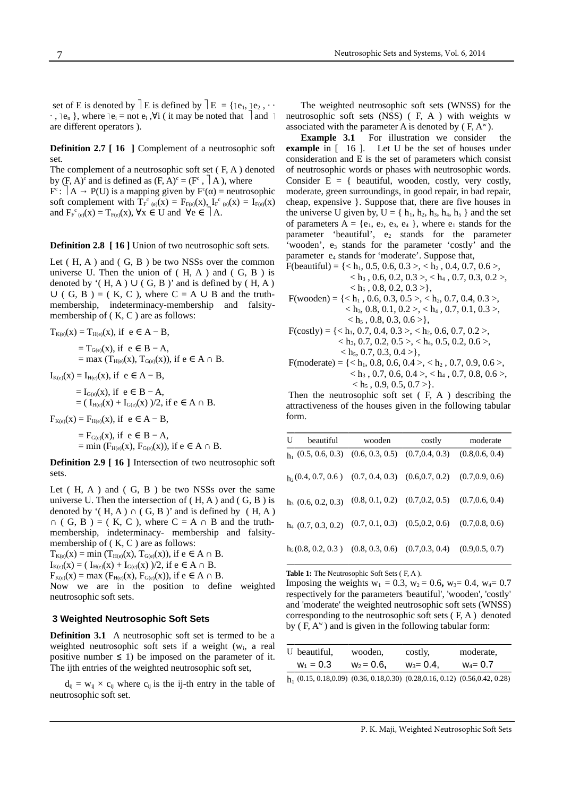set of E is denoted by  $\vert E \vert$  is defined by  $\vert E \vert = \{ \vert e_1, \vert e_2, \cdots \}$  $\cdot$ ,  $\cdot$  e<sub>n</sub> }, where  $\cdot$   $\cdot$   $\cdot$  = not  $\cdot$   $\cdot$   $\cdot$   $\cdot$  ( it may be noted that  $\cdot$  and  $\cdot$ are different operators ).

**Definition 2.7 [ 16 ]** Complement of a neutrosophic soft set.

The complement of a neutrosophic soft set ( F, A ) denoted by  $(F, A)^c$  and is defined as  $(F, A)^c = (F^c, |A|)$ , where

 $\mathrm{F}^\mathrm{c}\colon\mid\mathrm{A}\rightarrow\mathrm{P}(\mathrm{U})$  is a mapping given by  $\mathrm{F}^\mathrm{c}(\alpha)$  = neutrosophic soft complement with  $T_F^c{}_{(e)}(x) = F_{F(e)}(x)$ ,  $I_F^c{}_{(e)}(x) = I_{F(e)}(x)$ and  $F_{F^c(e)}(x) = T_{F(e)}(x)$ ,  $\forall x \in U$  and  $\forall e \in A$ .

**Definition 2.8 [ 16 ]** Union of two neutrosophic soft sets.

Let  $(H, A)$  and  $(G, B)$  be two NSSs over the common universe U. Then the union of  $(H, A)$  and  $(G, B)$  is denoted by '(  $H$ , A )  $\cup$  ( G, B )' and is defined by (  $H$ , A )  $\cup$  ( G, B ) = ( K, C ), where C = A  $\cup$  B and the truthmembership, indeterminacy-membership and falsitymembership of (K, C) are as follows:

$$
T_{K(e)}(x) = T_{H(e)}(x), \text{ if } e \in A - B, = T_{G(e)}(x), \text{ if } e \in B - A, = \max (T_{H(e)}(x), T_{G(e)}(x)), \text{ if } e \in A \cap B.
$$

 $I_{K(e)}(x) = I_{H(e)}(x)$ , if  $e \in A - B$ ,

 $= I_{G(e)}(x)$ , if  $e \in B - A$ , = (  $I_{H(e)}(x) + I_{G(e)}(x)$  )/2, if e ∈ A ∩ B.

 $F_{K(e)}(x) = F_{H(e)}(x)$ , if  $e \in A - B$ ,

 $= F_{G(e)}(x)$ , if  $e \in B - A$ , = min ( $F_{H(e)}(x)$ ,  $F_{G(e)}(x)$ ), if  $e \in A \cap B$ .

**Definition 2.9 [ 16 ]** Intersection of two neutrosophic soft sets.

Let  $(H, A)$  and  $(G, B)$  be two NSSs over the same universe U. Then the intersection of  $(H, A)$  and  $(G, B)$  is denoted by  $'(H, A) \cap (G, B)'$  and is defined by  $(H, A)$  $\cap$  ( G, B ) = ( K, C ), where C = A  $\cap$  B and the truthmembership, indeterminacy- membership and falsitymembership of (K, C) are as follows:

 $T_{K(e)}(x) = \min (T_{H(e)}(x), T_{G(e)}(x))$ , if  $e \in A \cap B$ .  $I_{K(e)}(x) = ( I_{H(e)}(x) + I_{G(e)}(x) )/2$ , if e ∈ A ∩ B.

 $F_{K(e)}(x) = \max (F_{H(e)}(x), F_{G(e)}(x))$ , if  $e \in A \cap B$ .

Now we are in the position to define weighted neutrosophic soft sets.

### **3 Weighted Neutrosophic Soft Sets**

**Definition 3.1** A neutrosophic soft set is termed to be a weighted neutrosophic soft sets if a weight  $(w_i, a$  real positive number  $\leq$  1) be imposed on the parameter of it. The ijth entries of the weighted neutrosophic soft set,

 $d_{ij} = w_{ij} \times c_{ij}$  where  $c_{ij}$  is the ij-th entry in the table of neutrosophic soft set.

The weighted neutrosophic soft sets (WNSS) for the neutrosophic soft sets (NSS) ( F, A ) with weights w associated with the parameter A is denoted by  $(F, A^w)$ .

**Example 3.1** For illustration we consider the **example** in [ 16 ]. Let U be the set of houses under consideration and E is the set of parameters which consist of neutrosophic words or phases with neutrosophic words. Consider  $E = \{$  beautiful, wooden, costly, very costly, moderate, green surroundings, in good repair, in bad repair, cheap, expensive }. Suppose that, there are five houses in the universe U given by,  $U = \{ h_1, h_2, h_3, h_4, h_5 \}$  and the set of parameters  $A = \{e_1, e_2, e_3, e_4\}$ , where  $e_1$  stands for the parameter 'beautiful', e<sub>2</sub> stands for the parameter  $\epsilon$  wooden', e<sub>3</sub> stands for the parameter 'costly' and the parameter e4 stands for 'moderate'. Suppose that,

- F(beautiful) =  $\{< h_1, 0.5, 0.6, 0.3>, < h_2, 0.4, 0.7, 0.6, \}$  $\langle h_3, 0.6, 0.2, 0.3 \rangle, \langle h_4, 0.7, 0.3, 0.2 \rangle,$  $\langle h_5, 0.8, 0.2, 0.3 \rangle$ ,
- $F(wooden) = \{< h_1, 0.6, 0.3, 0.5>, < h_2, 0.7, 0.4, 0.3>,\}$  $< h_3$ , 0.8, 0.1, 0.2 >,  $< h_4$ , 0.7, 0.1, 0.3 >,  $\langle h_5, 0.8, 0.3, 0.6 \rangle$
- $F(costly) = \{< h_1, 0.7, 0.4, 0.3>, < h_2, 0.6, 0.7, 0.2>,$  $\langle h_3, 0.7, 0.2, 0.5 \rangle, \langle h_4, 0.5, 0.2, 0.6 \rangle,$  $\langle h_5, 0.7, 0.3, 0.4 \rangle$
- F(moderate) =  $\{< h_1, 0.8, 0.6, 0.4>, < h_2, 0.7, 0.9, 0.6, \}$  $\langle h_3, 0.7, 0.6, 0.4 \rangle, \langle h_4, 0.7, 0.8, 0.6 \rangle,$  $\langle h_5, 0.9, 0.5, 0.7 \rangle$ .

Then the neutrosophic soft set ( F, A ) describing the attractiveness of the houses given in the following tabular form.

| U | beautiful             | wooden                                                                     | costly                                                | moderate        |
|---|-----------------------|----------------------------------------------------------------------------|-------------------------------------------------------|-----------------|
|   |                       | $h_1$ (0.5, 0.6, 0.3) (0.6, 0.3, 0.5) (0.7, 0.4, 0.3)                      |                                                       | (0.8, 0.6, 0.4) |
|   |                       | $h_2(0.4, 0.7, 0.6)$ (0.7, 0.4, 0.3) (0.6, 0.7, 0.2) (0.7, 0.9, 0.6)       |                                                       |                 |
|   | $h_3$ (0.6, 0.2, 0.3) |                                                                            | $(0.8, 0.1, 0.2)$ $(0.7, 0.2, 0.5)$ $(0.7, 0.6, 0.4)$ |                 |
|   | $h_4$ (0.7, 0.3, 0.2) |                                                                            | $(0.7, 0.1, 0.3)$ $(0.5, 0.2, 0.6)$ $(0.7, 0.8, 0.6)$ |                 |
|   |                       | $h_5(0.8, 0.2, 0.3)$ $(0.8, 0.3, 0.6)$ $(0.7, 0.3, 0.4)$ $(0.9, 0.5, 0.7)$ |                                                       |                 |

**Table 1:** The Neutrosophic Soft Sets ( F, A ).

Imposing the weights  $w_1 = 0.3$ ,  $w_2 = 0.6$ ,  $w_3 = 0.4$ ,  $w_4 = 0.7$ respectively for the parameters 'beautiful', 'wooden', 'costly' and 'moderate' the weighted neutrosophic soft sets (WNSS) corresponding to the neutrosophic soft sets ( F, A ) denoted by  $(F, A^w)$  and is given in the following tabular form:

| U beautiful, | wooden,     | costly,     | moderate,   |  |
|--------------|-------------|-------------|-------------|--|
| $w_1 = 0.3$  | $w_2 = 0.6$ | $w_3 = 0.4$ | $W_4 = 0.7$ |  |

 $h_1$  (0.15, 0.18,0.09) (0.36, 0.18,0.30) (0.28,0.16, 0.12) (0.56,0.42, 0.28)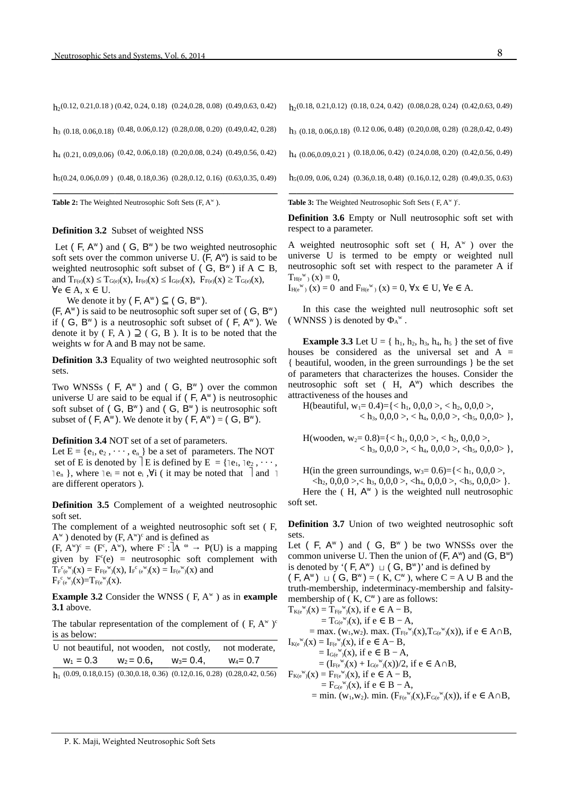| $h_2(0.12, 0.21, 0.18)$ (0.42, 0.24, 0.18) (0.24, 0.28, 0.08) (0.49, 0.63, 0.42)  |  |  |
|-----------------------------------------------------------------------------------|--|--|
| $h_3$ (0.18, 0.06, 0.18) (0.48, 0.06, 0.12) (0.28, 0.08, 0.20) (0.49, 0.42, 0.28) |  |  |
| $h_4$ (0.21, 0.09, 0.06) (0.42, 0.06, 0.18) (0.20, 0.08, 0.24) (0.49, 0.56, 0.42) |  |  |
| $h_5(0.24, 0.06, 0.09)$ (0.48, 0.18, 0.36) (0.28, 0.12, 0.16) (0.63, 0.35, 0.49)  |  |  |

Table 2: The Weighted Neutrosophic Soft Sets (F, A<sup>w</sup>).

#### **Definition 3.2** Subset of weighted NSS

Let ( $F$ ,  $A^w$ ) and ( $G$ ,  $B^w$ ) be two weighted neutrosophic soft sets over the common universe U.  $(F, A^w)$  is said to be weighted neutrosophic soft subset of  $( G, B^w )$  if  $A \subset B$ , and  $T_{F(e)}(x) \leq T_{G(e)}(x)$ ,  $I_{F(e)}(x) \leq I_{G(e)}(x)$ ,  $F_{F(e)}(x) \geq T_{G(e)}(x)$ ,  $\forall e \in A, x \in U$ .

We denote it by  $(F, A^w) \subseteq (G, B^w)$ .

 $(F, A^w)$  is said to be neutrosophic soft super set of  $(G, B^w)$ if ( G,  $B^{\omega}$  ) is a neutrosophic soft subset of ( F,  $A^{\omega}$  ). We denote it by ( F, A )  $\supseteq$  ( G, B ). It is to be noted that the weights w for A and B may not be same.

**Definition 3.3** Equality of two weighted neutrosophic soft sets.

Two WNSSs ( $F$ ,  $A^w$ ) and ( $G$ ,  $B^w$ ) over the common universe U are said to be equal if  $( F, A^w )$  is neutrosophic soft subset of  $( G, B^w )$  and  $( G, B^w )$  is neutrosophic soft subset of  $(F, A^w)$ . We denote it by  $(F, A^w) = (G, B^w)$ .

**Definition 3.4** NOT set of a set of parameters.

Let  $E = \{e_1, e_2, \dots, e_n\}$  be a set of parameters. The NOT set of E is denoted by  $\exists$  E is defined by E = { $\exists$ e<sub>1</sub>,  $\exists$ e<sub>2</sub>, · · · ,  $\lceil e_n \rceil$ , where  $\lceil e_i \rceil$  = not  $e_i$ ,  $\forall i$  ( it may be noted that  $\lceil$  and  $\lceil$ are different operators ).

**Definition 3.5** Complement of a weighted neutrosophic soft set.

The complement of a weighted neutrosophic soft set ( F,  $A^w$ ) denoted by  $(F, A^w)^c$  and is defined as

 $(F, A^w)^c = (F^c, A^w)$ , where  $F^c: |A^{\omega} \rightarrow P(U)$  is a mapping given by  $F<sup>c</sup>(e)$  = neutrosophic soft complement with  $T_{F}^{c}$ <sub>(e</sub><sup>w</sup><sub>)</sub>(x) =  $F_{F}^{c}$ <sub>(e</sub><sup>w</sup><sub>)</sub>(x),  $I_{F}^{c}$ <sub>(e</sub><sup>w</sup><sub>)</sub>(x) =  $I_{F}^{c}$ <sub>(e</sub><sup>w</sup><sub>)</sub>(x) and  $F_{F(e^W)}^{\ c}(\mathbf{x})=T_{F(e^W)}^{\ c}(\mathbf{x}).$ 

**Example 3.2** Consider the WNSS (F, A<sup>w</sup>) as in **example 3.1** above.

The tabular representation of the complement of  $(F, A^w)$ <sup>c</sup> is as below:

| U not beautiful, not wooden, not costly, |             |             | not moderate, |
|------------------------------------------|-------------|-------------|---------------|
| $w_1 = 0.3$                              | $w_2 = 0.6$ | $w_3 = 0.4$ | $W_4 = 0.7$   |

 $h_1$  (0.09, 0.18,0.15) (0.30,0.18, 0.36) (0.12,0.16, 0.28) (0.28,0.42, 0.56)

 $h_2(0.18, 0.21, 0.12)$   $(0.18, 0.24, 0.42)$   $(0.08, 0.28, 0.24)$   $(0.42, 0.63, 0.49)$ 

 $h_3$  (0.18, 0.06, 0.18) (0.12 0.06, 0.48) (0.20, 0.08, 0.28) (0.28, 0.42, 0.49)

 $h_4$  (0.06,0,09,0,21) (0.18,0.06, 0.42) (0.24,0.08, 0.20) (0.42,0.56, 0.49)

h5(0.09, 0.06, 0.24) (0.36,0.18, 0.48) (0.16,0.12, 0.28) (0.49,0.35, 0.63)

Table 3: The Weighted Neutrosophic Soft Sets (F, A<sup>w</sup>)<sup>c</sup>.

**Definition 3.6** Empty or Null neutrosophic soft set with respect to a parameter.

A weighted neutrosophic soft set ( $H$ ,  $A^w$ ) over the universe U is termed to be empty or weighted null neutrosophic soft set with respect to the parameter A if  $T_{H(e^{W})}(x) = 0,$ 

 $I_{\text{He}}^{w}$  (x) = 0 and  $F_{\text{He}}^{w}$  (x) = 0,  $\forall x \in U$ ,  $\forall e \in A$ .

In this case the weighted null neutrosophic soft set (WNNSS) is denoted by  $\Phi_A{}^w$ .

**Example 3.3** Let  $U = \{ h_1, h_2, h_3, h_4, h_5 \}$  the set of five houses be considered as the universal set and  $A =$ { beautiful, wooden, in the green surroundings } be the set of parameters that characterizes the houses. Consider the neutrosophic soft set  $(H, A^w)$  which describes the attractiveness of the houses and

H(beautiful,  $w_1 = 0.4$ )={ < h<sub>1</sub>, 0,0,0 >, < h<sub>2</sub>, 0,0,0 >,  $\langle h_3, 0, 0, 0 \rangle, \langle h_4, 0, 0, 0 \rangle, \langle h_5, 0, 0, 0 \rangle,$ 

H(wooden,  $w_2$ = 0.8)={< h<sub>1</sub>, 0,0,0 >, < h<sub>2</sub>, 0,0,0 >,  $\langle h_3, 0, 0, 0 \rangle, \langle h_4, 0, 0, 0 \rangle, \langle h_5, 0, 0, 0 \rangle,$ 

H(in the green surroundings,  $w_3 = 0.6$ )={< h<sub>1</sub>, 0,0,0 >,

 $\langle h_2, 0, 0, 0 \rangle, \langle h_3, 0, 0, 0 \rangle, \langle h_4, 0, 0, 0 \rangle, \langle h_5, 0, 0, 0 \rangle.$ 

Here the  $(H, A^w)$  is the weighted null neutrosophic soft set.

**Definition 3.7** Union of two weighted neutrosophic soft sets.

Let  $($  F,  $A^w$   $)$  and  $($  G,  $B^w$   $)$  be two WNSSs over the common universe U. Then the union of  $(F, A^w)$  and  $(G, B^w)$ is denoted by '( $F, A^w$ )  $□$  ( $G, B^w$ )' and is defined by  $(F, A^w) \sqcup (G, B^w) = (K, C^w)$ , where  $C = A \cup B$  and the truth-membership, indeterminacy-membership and falsitymembership of  $(K, C^w)$  are as follows:  $T_{K(e^{\mathbf{w}})}(x) = T_{F(e^{\mathbf{w}})}(x)$ , if  $e \in A - B$ ,  $=T_{\mathsf{Ge}}^{\mathsf{w}}(x)$ , if  $e \in B-A$ , = max. (w<sub>1</sub>,w<sub>2</sub>). max. (T<sub>F(e</sub><sup>w</sup>)(x),T<sub>G(e</sub><sup>w</sup>)(x)), if e ∈ A∩B,

$$
I_{K(e^{W})(X)} = I_{F(e^{W})(X)}, \text{ if } e \in A - B, = I_{G(e^{W})(X)}, \text{ if } e \in B - A,
$$

 $= (I_{F(e^{W})(X)} + I_{G(e^{W})(X)})/2$ , if e  $\in A \cap B$ ,

 $F_{K(e^{W})}(x) = F_{F(e^{W})}(x)$ , if  $e \in A - B$ ,  $=F_{\mathsf{Ge}}^{\mathsf{w}}(x)$ , if  $e \in B-A$ ,

= min. (w<sub>1</sub>,w<sub>2</sub>). min. (F<sub>F(e</sub><sup>w</sup><sub>)</sub>(x),F<sub>G(e</sub><sup>w</sup><sub>)</sub>(x)), if e ∈ A∩B,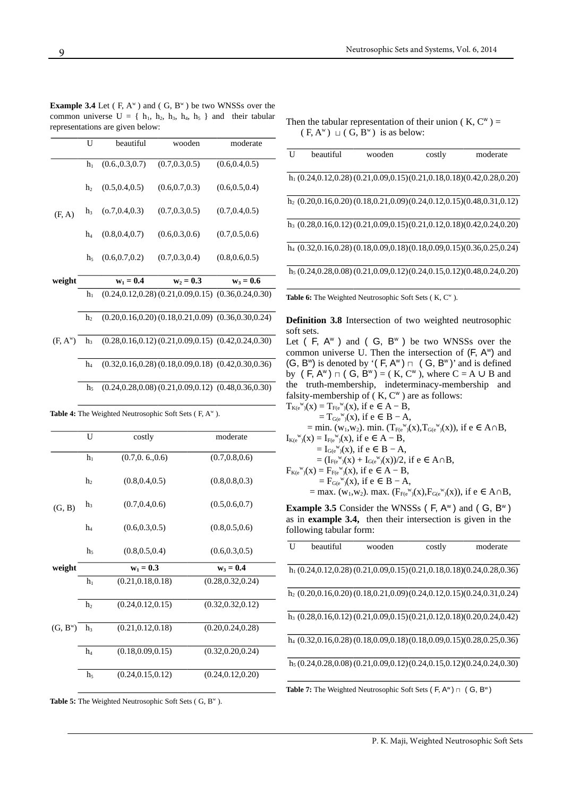| <b>Example 3.4</b> Let (F, $A^w$ ) and (G, $B^w$ ) be two WNSSs over the |  |
|--------------------------------------------------------------------------|--|
| common universe $U = \{ h_1, h_2, h_3, h_4, h_5 \}$ and their tabular    |  |
| representations are given below:                                         |  |

|                       | U              | beautiful        | wooden                                                         | moderate        |
|-----------------------|----------------|------------------|----------------------------------------------------------------|-----------------|
|                       | $h_1$          | (0.6., 0.3, 0.7) | (0.7, 0.3, 0.5)                                                | (0.6, 0.4, 0.5) |
|                       | h <sub>2</sub> | (0.5, 0.4, 0.5)  | (0.6, 0.7, 0.3)                                                | (0.6, 0.5, 0.4) |
| (F, A)                | $h_3$          | (0.7, 0.4, 0.3)  | (0.7, 0.3, 0.5)                                                | (0.7, 0.4, 0.5) |
|                       | h <sub>4</sub> | (0.8, 0.4, 0.7)  | (0.6, 0.3, 0.6)                                                | (0.7, 0.5, 0.6) |
|                       | h <sub>5</sub> | (0.6, 0.7, 0.2)  | (0.7, 0.3, 0.4)                                                | (0.8, 0.6, 0.5) |
| weight                |                | $w_1 = 0.4$      | $w_2 = 0.3$                                                    | $w_3 = 0.6$     |
|                       | $h_1$          |                  | $(0.24, 0.12, 0.28)$ $(0.21, 0.09, 0.15)$ $(0.36, 0.24, 0.30)$ |                 |
|                       | h <sub>2</sub> |                  | $(0.20, 0.16, 0.20)$ $(0.18, 0.21, 0.09)$ $(0.36, 0.30, 0.24)$ |                 |
| $(F, A^{\mathsf{w}})$ | $h_3$          |                  | $(0.28, 0.16, 0.12)$ $(0.21, 0.09, 0.15)$ $(0.42, 0.24, 0.30)$ |                 |
|                       | $\rm{h}_4$     |                  | $(0.32, 0.16, 0.28)$ $(0.18, 0.09, 0.18)$ $(0.42, 0.30, 0.36)$ |                 |

 $h_5$  (0.24, 0.28, 0.08) (0.21, 0.09, 0.12) (0.48, 0.36, 0.30)

|  |  | <b>Table 4:</b> The Weighted Neutrosophic Soft Sets ( $F, A^w$ ). |  |  |  |
|--|--|-------------------------------------------------------------------|--|--|--|
|--|--|-------------------------------------------------------------------|--|--|--|

|            | U                   | costly                                   | moderate                                 |
|------------|---------------------|------------------------------------------|------------------------------------------|
|            | $h_1$               | (0.7, 0.6, 0.6)                          | (0.7, 0.8, 0.6)                          |
|            | h,                  | (0.8, 0.4, 0.5)                          | (0.8, 0.8, 0.3)                          |
| (G, B)     | h                   | (0.7, 0.4, 0.6)                          | (0.5, 0.6, 0.7)                          |
|            | h <sub>4</sub>      | (0.6, 0.3, 0.5)                          | (0.8, 0.5, 0.6)                          |
|            | h <sub>5</sub>      | (0.8, 0.5, 0.4)                          | (0.6, 0.3, 0.5)                          |
|            |                     |                                          |                                          |
| weight     |                     | $w_1 = 0.3$                              | $w_3 = 0.4$                              |
|            | $h_1$               | (0.21, 0.18, 0.18)                       | (0.28, 0.32, 0.24)                       |
|            | h,                  | (0.24, 0.12, 0.15)                       | (0.32, 0.32, 0.12)                       |
| $(G, B^w)$ | h                   | (0.21, 0.12, 0.18)                       | (0.20, 0.24, 0.28)                       |
|            | h<br>h <sub>5</sub> | (0.18, 0.09, 0.15)<br>(0.24, 0.15, 0.12) | (0.32, 0.20, 0.24)<br>(0.24, 0.12, 0.20) |

Table 5: The Weighted Neutrosophic Soft Sets (G, B<sup>w</sup>).

Then the tabular representation of their union ( $K, C^{\omega}$ ) =  $(F, A^w) \sqcup (G, B^w)$  is as below:

| U | beautiful                                                                 | wooden | costly | moderate |
|---|---------------------------------------------------------------------------|--------|--------|----------|
|   | $h_1$ (0.24,0.12,0.28) (0.21,0.09,0.15) (0.21,0.18,0.18) (0.42,0.28,0.20) |        |        |          |
|   | $h_2$ (0.20,0.16,0.20) (0.18,0.21,0.09) (0.24,0.12,0.15) (0.48,0.31,0.12) |        |        |          |
|   | $h_3$ (0.28,0.16,0.12) (0.21,0.09,0.15) (0.21,0.12,0.18) (0.42,0.24,0.20) |        |        |          |
|   | $h_4$ (0.32,0.16,0.28) (0.18,0.09,0.18) (0.18,0.09,0.15) (0.36,0.25,0.24) |        |        |          |
|   | $h_5$ (0.24,0.28,0.08) (0.21,0.09,0.12) (0.24,0.15,0.12) (0.48,0.24,0.20) |        |        |          |
|   | <b>THE CTU WILL INT</b> . It CLC . IT OWN                                 |        |        |          |

Table 6: The Weighted Neutrosophic Soft Sets (K, C<sup>w</sup>).

**Definition 3.8** Intersection of two weighted neutrosophic soft sets.

Let  $($  F,  $A^w$   $)$  and  $($  G,  $B^w$   $)$  be two WNSSs over the common universe U. Then the intersection of  $(F, A^w)$  and  $(G, B^{\mathsf{w}})$  is denoted by '(F, A<sup>w</sup>)  $\sqcap$  (G, B<sup>w</sup>)' and is defined by  $(F, A^w) \sqcap (G, B^w) = (K, C^w)$ , where  $C = A \cup B$  and the truth-membership, indeterminacy-membership and falsity-membership of  $(K, C^w)$  are as follows:

$$
\begin{array}{l} T_{K(e^w)}(x) = T_{F(e^w)}(x), \text{ if } e \in A - B, \\qquad \qquad = T_{G(e^w)}(x), \text{ if } e \in B - A, \\qquad \qquad = \min. \ (w_1,w_2). \ \min. \ (T_{F(e^w)}(x),T_{G(e^w)}(x)), \text{ if } e \in A \cap B, \\ I_{K(e^w)}(x) = I_{F(e^w)}(x), \text{ if } e \in A - B, \\qquad \qquad = I_{G(e^w)}(x), \text{ if } e \in B - A, \\qquad \qquad = (I_{F(e^w)}(x) + I_{G(e^w)}(x))/2, \text{ if } e \in A \cap B, \\ F_{K(e^w)}(x) = F_{F(e^w)}(x), \text{ if } e \in A - B, \\qquad \qquad = F_{G(e^w)}(x), \text{ if } e \in B - A, \\qquad \qquad = \max. \ (w_1,w_2). \ \max. \ (F_{F(e^w)}(x),F_{G(e^w)}(x)), \text{ if } e \in A \cap B, \end{array}
$$

**Example 3.5** Consider the WNSSs  $(F, A^w)$  and  $(G, B^w)$ as in **example 3.4,** then their intersection is given in the following tabular form:

| U | beautiful | wooden | costly | moderate                                                                           |
|---|-----------|--------|--------|------------------------------------------------------------------------------------|
|   |           |        |        | $h_1$ (0.24,0.12,0.28) (0.21,0.09,0.15) (0.21,0.18,0.18) (0.24,0.28,0.36)          |
|   |           |        |        | $h_2$ (0.20,0.16,0.20) (0.18,0.21,0.09) (0.24,0.12,0.15) (0.24,0.31,0.24)          |
|   |           |        |        | $h_3$ (0.28,0.16,0.12) (0.21,0.09,0.15) (0.21,0.12,0.18) (0.20,0.24,0.42)          |
|   |           |        |        | h <sub>4</sub> (0.32,0.16,0.28) (0.18,0.09,0.18) (0.18,0.09,0.15) (0.28,0.25,0.36) |
|   |           |        |        | $h_5(0.24, 0.28, 0.08)(0.21, 0.09, 0.12)(0.24, 0.15, 0.12)(0.24, 0.24, 0.30)$      |
|   |           |        |        |                                                                                    |

Table 7: The Weighted Neutrosophic Soft Sets (F, A<sup>w</sup>)  $\sqcap$  (G, B<sup>w</sup>)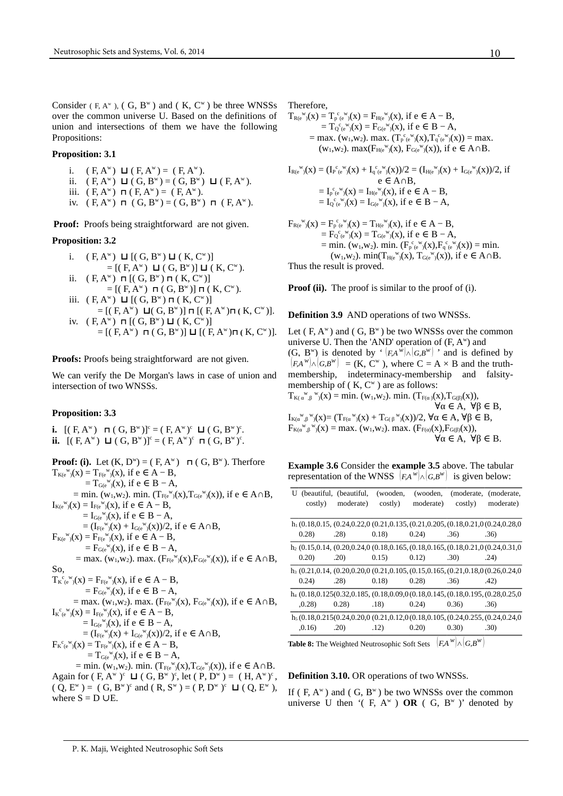Consider  $(F, A^w)$ ,  $(G, B^w)$  and  $(K, C^w)$  be three WNSSs over the common universe U. Based on the definitions of union and intersections of them we have the following Propositions:

#### **Proposition: 3.1**

- i. ( F, A<sup>w</sup>) **⊔** ( F, A<sup>w</sup>) = ( F, A<sup>w</sup>). ii.  $(F, A^w) \Box (G, B^w) = (G, B^w) \Box (F, A^w)$ . iii.  $(F, A^w)$  **⊓**  $(F, A^w) = (F, A^w)$ .
- iv.  $(F, A^w)$  **⊓**  $(G, B^w) = (G, B^w)$  **⊓**  $(F, A^w)$ .

**Proof:** Proofs being straightforward are not given.

#### **Proposition: 3.2**

- i.  $(F, A^w)$  **⊔**  $[(G, B^w)$  **⊔**  $(K, C^w)]$  $= [(F, A^{\mathsf{w}}) \blacksquare (G, B^{\mathsf{w}})] \blacksquare (K, C^{\mathsf{w}}).$ ii. ( F, A<sup>w</sup>) **⊓** [( G, B<sup>w</sup>) **⊓** ( K, C<sup>w</sup>)]  $=$  [( F, A<sup>w</sup>) **⊓** ( G, B<sup>w</sup>)] **⊓** ( K, C<sup>w</sup>). iii.  $(F, A^w)$  **⊔**  $[(G, B^w)$  ⊓  $(K, C^w)]$
- = [( F, A<sup>w</sup>) **⊔**( G, B<sup>w</sup>)] **⊓** [( F, A<sup>w</sup>)**⊓ (** K, C<sup>w</sup>)]. iv. ( F, A<sup>w</sup>) **⊓** [( G, B<sup>w</sup>) **⊔** ( K, C<sup>w</sup>)]  $=$  [( F, A<sup>w</sup>) **⊓** ( G, B<sup>w</sup>)] **⊔** [( F, A<sup>w</sup>)**⊓** ( K, C<sup>w</sup>)].

**Proofs:** Proofs being straightforward are not given.

We can verify the De Morgan's laws in case of union and intersection of two WNSSs.

#### **Proposition: 3.3**

**i.**  $[(F, A^w) \Pi (G, B^w)]^c = (F, A^w)^c \Pi (G, B^w)^c$ . **ii.**  $[(F, A^w) \square (G, B^w)]^c = (F, A^w)^c \square (G, B^w)^c$ .

**Proof: (i).** Let  $(K, D^w) = (F, A^w)$   $\pi(G, B^w)$ . Therfore  $T_{K(e^{W})(X)} = T_{F(e^{W})(X)}$ , if  $e \in A - B$ ,  $=T_{\mathsf{Ge}}^{\mathsf{w}}(x)$ , if  $e \in B-A$ , = min. (w<sub>1</sub>,w<sub>2</sub>). min. (T<sub>F(e</sub><sup>w</sup>)(x),T<sub>G(e</sub><sup>w</sup>)(x)), if e ∈ A∩B,  $I_{K(e^{W})(X)} = I_{F(e^{W})(X)}$ , if  $e \in A - B$ ,  $= I_{\mathsf{G}(e^{W})}(x)$ , if  $e \in B - A$ ,  $= (I_{F(e^{W})(X)} + I_{G(e^{W})(X)})/2$ , if e  $\in A \cap B$ ,  $F_{K(e^{W})(X)} = F_{F(e^{W})(X)}$ , if  $e \in A - B$ ,  $=F_{\mathsf{G}(e^{\mathsf{W}})}(x)$ , if  $e \in B-A$ , = max. (w<sub>1</sub>,w<sub>2</sub>). max. (F<sub>F(e</sub><sup>w</sup><sub>)</sub>(x),F<sub>G(e</sub><sup>w</sup><sub>)</sub>(x)), if e ∈ A∩B, So,  $T_{K}^{c}{}_{(e)}^{w}(x) = F_{F(e)}^{w}(x)$ , if  $e \in A - B$ ,  $=F_{\mathsf{G}(e^{\mathsf{W}})}(x)$ , if  $e \in B-A$ , = max. (w<sub>1</sub>,w<sub>2</sub>). max. (F<sub>F(e</sub><sup>w</sup>)(x), F<sub>G(e</sub><sup>w</sup>)(x)), if e ∈ A∩B,  $I_{K}^{c}{}_{(e}^{w})$ (x) =  $I_{F(e}^{w})$ (x), if e  $\in$  A – B,  $= I_{\mathsf{Ge}}^w(x)$ , if  $e \in B - A$ ,  $= (I_{F(e^{W})(X)} + I_{G(e^{W})(X)})/2$ , if e  $\in A \cap B$ ,  $F_{K}^{c}{}_{(e}^{w})$ (x) =  $T_{F(e}^{w})$ (x), if e  $\in$  A – B,  $=T_{\mathsf{G}(e^{W})}(x)$ , if  $e \in B-A$ , = min. (w<sub>1</sub>,w<sub>2</sub>). min. (T<sub>F(e</sub><sup>w</sup><sub>)</sub>(x),T<sub>G(e</sub><sup>w</sup><sub>)</sub>(x)), if e ∈ A∩B. Again for  $(F, A^w)^c$   $\Box$   $(G, B^w)^c$ , let  $(P, D^w) = (H, A^w)^c$ ,  $(Q, E^w) = (G, B^w)^c$  and  $(R, S^w) = (P, D^w)^c \Box (Q, E^w)$ , where  $S = D \cup E$ .

Therefore,

$$
\begin{array}{ll} T_{R(e^{w})}(x)=T_{p}{}^c{}_e{}^w{}_j(x)=F_{H(e^{w})}(x), \ \text{if}\ e\in A-B,\\ \qquad \ \ =T_{Q}{}^c{}_e{}^w{}_j(x)=F_{G(e^{w})}(x), \ \text{if}\ e\in B-A,\\ \qquad \ \ =\max. \ (w_1,w_2). \ \max. \ (T_{p}{}^c{}_e{}^w{}_j(x),T_{q}{}^c{}_e{}^w{}_j(x))=\max.\\ (w_1,w_2). \ \max(F_{H(e^{w})}(x),\ F_{G(e^{w})}(x)), \ \text{if}\ e\in A\cap B.\end{array}
$$

$$
\begin{aligned} I_{R(e^{W})}(x)&=(I_{P}{}^{c}{}_{(e^{W})}(x)+I_{q}{}^{c}{}_{(e^{W})}(x))/2=(I_{H(e^{W})}(x)+I_{G(e^{W})}(x))/2,\ if\\ &e\in A\cap B,\\ &=I_{P}{}^{c}{}_{(e^{W})}(x)=I_{H(e^{W})}(x),\ if\ e\in A-B,\\ &=I_{Q}{}^{c}{}_{(e^{W})}(x)=I_{G(e^{W})}(x),\ if\ e\in B-A,\end{aligned}
$$

$$
F_{R(e^{w})}(x) = F_{p^{c}(e^{w})}(x) = T_{H(e^{w})}(x), \text{ if } e \in A - B, \n= F_{Q^{c}(e^{w})}(x) = T_{G(e^{w})}(x), \text{ if } e \in B - A, \n= min. (w1,w2), min. (F_{p^{c}(e^{w})}(x), F_{q^{c}(e^{w})}(x)) = min. \n(w1,w2), min(TH(e^{w})(x), TG(e^{w})(x)), \text{ if } e \in A \cap B. \nThus the result is proved.
$$

**Proof (ii).** The proof is similar to the proof of (i).

#### **Definition 3.9** AND operations of two WNSSs.

Let  $(F, A^w)$  and  $(G, B^w)$  be two WNSSs over the common universe U. Then the 'AND' operation of  $(F, A<sup>w</sup>)$  and (G, B<sup>w</sup>) is denoted by '  $|F,A^{\hat{w}}| \wedge |G,B^w|$  ' and is defined by  $(F, A^W) \wedge (G, B^W) = (K, C^W)$ , where  $C = A \times B$  and the truthmembership, indeterminacy-membership and falsitymembership of  $(K, C^w)$  are as follows:  $T_{K(\alpha^{\vee}, \beta^{\vee})}(x) = \min. (w_1, w_2). \min. (T_{F(\alpha)}(x), T_{G(\beta)}(x)),$  $\forall \alpha \in A, \ \forall \beta \in B,$  $I_{K(\alpha^w, \beta^w)}(x) = (T_{F(\alpha^w)}(x) + T_{G(\beta^w)}(x))/2, \forall \alpha \in A, \forall \beta \in B,$  $F_{K(\alpha^W, \beta^W)}(x) = \max$ . (w<sub>1</sub>,w<sub>2</sub>). max. ( $F_{F(\alpha)}(x)$ ,  $F_{G(\beta)}(x)$ ),  $\forall \alpha \in A$ ,  $\forall \beta \in B$ .

**Example 3.6** Consider the **example 3.5** above. The tabular representation of the WNSS  $|F,A^w| \wedge |G,B^w|$  is given below:

|         | U (beautiful, (beautiful, | (wooden, | (wooden,  |                                                                                                     | (moderate, (moderate, |
|---------|---------------------------|----------|-----------|-----------------------------------------------------------------------------------------------------|-----------------------|
| costly) | moderate)                 | costly)  | moderate) | costly)                                                                                             | moderate)             |
|         |                           |          |           |                                                                                                     |                       |
|         |                           |          |           | $h_1(0.18, 0.15, (0.24, 0.22, 0.021, 0.135, (0.21, 0.205, (0.18, 0.21, 0.024, 0.28, 0.024, 0.024))$ |                       |
| 0.28    | .28)                      | 0.18)    | 0.24)     | .36)                                                                                                | .36)                  |
|         |                           |          |           | $h_2$ (0.15,0.14, (0.20,0.24,0 (0.18,0.165, (0.18,0.165, (0.18,0.21,0 (0.24,0.31,0)                 |                       |
| 0.20)   | .20)                      | 0.15)    | 0.12)     | .30)                                                                                                | .24)                  |
|         |                           |          |           | $h_3$ (0.21,0.14, (0.20,0.20,0 (0.21,0.105, (0.15,0.165, (0.21,0.18,0 (0.26,0.24,0)                 |                       |
| 0.24)   | .28)                      | 0.18)    | 0.28)     | .36)                                                                                                | .42)                  |
|         |                           |          |           | $h_4$ (0.18,0.125(0.32,0.185, (0.18,0.09,0 (0.18,0.145, (0.18,0.195, (0.28,0.25,0)                  |                       |
| ,0.28)  | 0.28                      | .18)     | 0.24)     | 0.36)                                                                                               | .36)                  |
|         |                           |          |           | $h5(0.18, 0.215(0.24, 0.20, 0.021, 0.12, 0.018, 0.105, (0.24, 0.255, (0.24, 0.24, 0.24, 0.24))$     |                       |
| ,0.16)  | .20)                      | .12)     | 0.20)     | (0.30)                                                                                              | .30)                  |
|         |                           |          |           |                                                                                                     |                       |

**Table 8:** The Weighted Neutrosophic Soft Sets  $|F,A^W| \wedge |G,B^W|$ 

#### **Definition 3.10.** OR operations of two WNSSs.

If ( $F, A^w$ ) and ( $G, B^w$ ) be two WNSSs over the common universe U then  $($  F, A<sup>w</sup>  $)$  **OR**  $($  G, B<sup>w</sup>  $)$ <sup>'</sup> denoted by